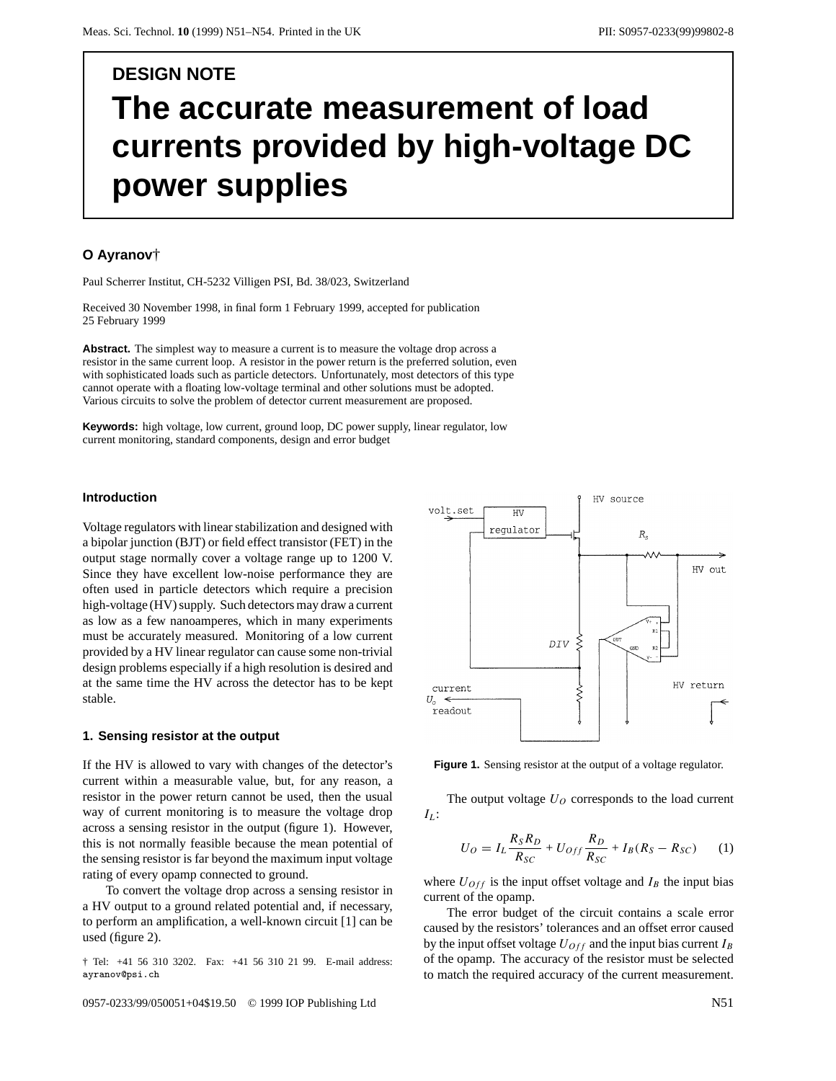# **DESIGN NOTE The accurate measurement of load currents provided by high-voltage DC power supplies**

## **O Ayranov**†

Paul Scherrer Institut, CH-5232 Villigen PSI, Bd. 38/023, Switzerland

Received 30 November 1998, in final form 1 February 1999, accepted for publication 25 February 1999

**Abstract.** The simplest way to measure a current is to measure the voltage drop across a resistor in the same current loop. A resistor in the power return is the preferred solution, even with sophisticated loads such as particle detectors. Unfortunately, most detectors of this type cannot operate with a floating low-voltage terminal and other solutions must be adopted. Various circuits to solve the problem of detector current measurement are proposed.

**Keywords:** high voltage, low current, ground loop, DC power supply, linear regulator, low current monitoring, standard components, design and error budget

## **Introduction**

Voltage regulators with linear stabilization and designed with a bipolar junction (BJT) or field effect transistor (FET) in the output stage normally cover a voltage range up to 1200 V. Since they have excellent low-noise performance they are often used in particle detectors which require a precision high-voltage (HV) supply. Such detectors may draw a current as low as a few nanoamperes, which in many experiments must be accurately measured. Monitoring of a low current provided by a HV linear regulator can cause some non-trivial design problems especially if a high resolution is desired and at the same time the HV across the detector has to be kept stable.

## **1. Sensing resistor at the output**

If the HV is allowed to vary with changes of the detector's current within a measurable value, but, for any reason, a resistor in the power return cannot be used, then the usual way of current monitoring is to measure the voltage drop across a sensing resistor in the output (figure 1). However, this is not normally feasible because the mean potential of the sensing resistor is far beyond the maximum input voltage rating of every opamp connected to ground.

To convert the voltage drop across a sensing resistor in a HV output to a ground related potential and, if necessary, to perform an amplification, a well-known circuit [1] can be used (figure 2).

† Tel: +41 56 310 3202. Fax: +41 56 310 21 99. E-mail address: ayranov@psi.ch

0957-0233/99/050051+04\$19.50 © 1999 IOP Publishing Ltd N51



**Figure 1.** Sensing resistor at the output of a voltage regulator.

The output voltage  $U<sub>O</sub>$  corresponds to the load current *I<sub>I</sub>*:

$$
U_O = I_L \frac{R_S R_D}{R_{SC}} + U_{Off} \frac{R_D}{R_{SC}} + I_B (R_S - R_{SC}) \tag{1}
$$

where  $U_{Off}$  is the input offset voltage and  $I_B$  the input bias current of the opamp.

The error budget of the circuit contains a scale error caused by the resistors' tolerances and an offset error caused by the input offset voltage  $U_{Off}$  and the input bias current  $I_B$ of the opamp. The accuracy of the resistor must be selected to match the required accuracy of the current measurement.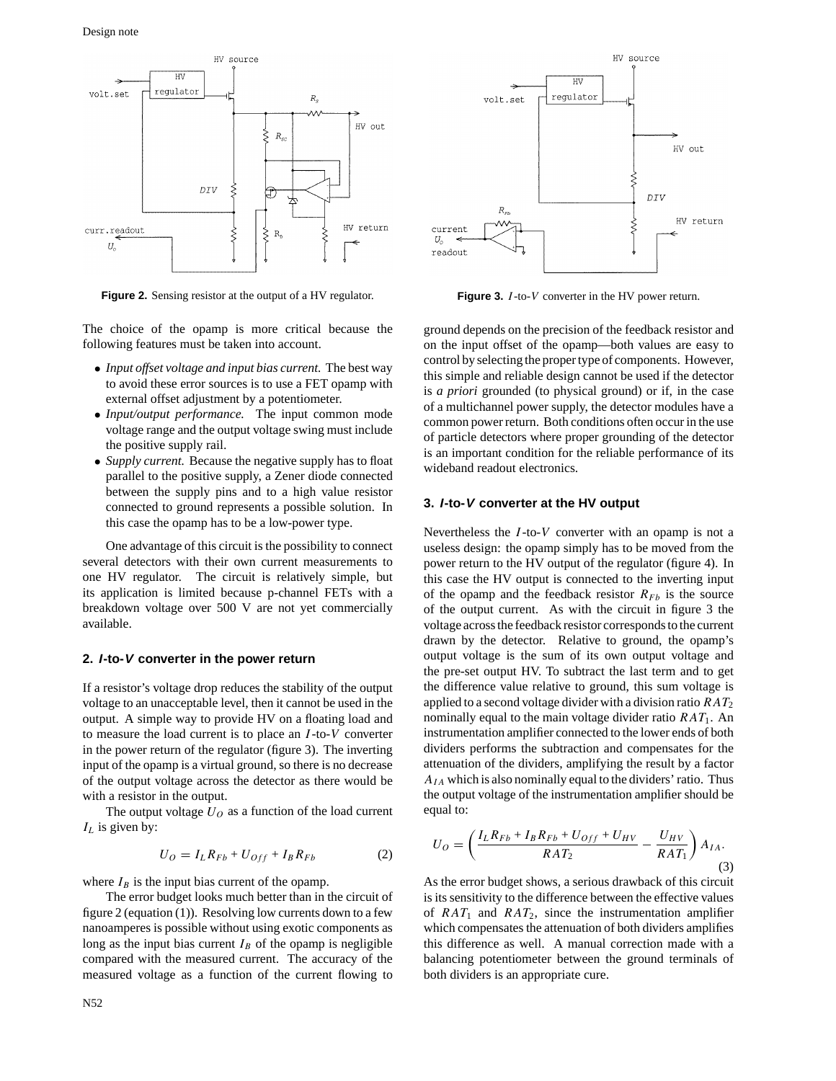

**Figure 2.** Sensing resistor at the output of a HV regulator.

The choice of the opamp is more critical because the following features must be taken into account.

- *Input offset voltage and input bias current.* The best way to avoid these error sources is to use a FET opamp with external offset adjustment by a potentiometer.
- *Input/output performance.* The input common mode voltage range and the output voltage swing must include the positive supply rail.
- *Supply current.* Because the negative supply has to float parallel to the positive supply, a Zener diode connected between the supply pins and to a high value resistor connected to ground represents a possible solution. In this case the opamp has to be a low-power type.

One advantage of this circuit is the possibility to connect several detectors with their own current measurements to one HV regulator. The circuit is relatively simple, but its application is limited because p-channel FETs with a breakdown voltage over 500 V are not yet commercially available.

#### **2. I-to-V converter in the power return**

If a resistor's voltage drop reduces the stability of the output voltage to an unacceptable level, then it cannot be used in the output. A simple way to provide HV on a floating load and to measure the load current is to place an *I* -to-*V* converter in the power return of the regulator (figure 3). The inverting input of the opamp is a virtual ground, so there is no decrease of the output voltage across the detector as there would be with a resistor in the output.

The output voltage  $U<sub>O</sub>$  as a function of the load current *IL* is given by:

$$
U_O = I_L R_{Fb} + U_{Off} + I_B R_{Fb} \tag{2}
$$

where  $I_B$  is the input bias current of the opamp.

The error budget looks much better than in the circuit of figure 2 (equation (1)). Resolving low currents down to a few nanoamperes is possible without using exotic components as long as the input bias current  $I_B$  of the opamp is negligible compared with the measured current. The accuracy of the measured voltage as a function of the current flowing to



**Figure 3.** *I* -to-*V* converter in the HV power return.

ground depends on the precision of the feedback resistor and on the input offset of the opamp—both values are easy to control by selecting the proper type of components. However, this simple and reliable design cannot be used if the detector is *a priori* grounded (to physical ground) or if, in the case of a multichannel power supply, the detector modules have a common power return. Both conditions often occur in the use of particle detectors where proper grounding of the detector is an important condition for the reliable performance of its wideband readout electronics.

#### **3. I-to-V converter at the HV output**

Nevertheless the *I* -to-*V* converter with an opamp is not a useless design: the opamp simply has to be moved from the power return to the HV output of the regulator (figure 4). In this case the HV output is connected to the inverting input of the opamp and the feedback resistor  $R_{Fb}$  is the source of the output current. As with the circuit in figure 3 the voltage across the feedback resistor corresponds to the current drawn by the detector. Relative to ground, the opamp's output voltage is the sum of its own output voltage and the pre-set output HV. To subtract the last term and to get the difference value relative to ground, this sum voltage is applied to a second voltage divider with a division ratio *RAT*<sub>2</sub> nominally equal to the main voltage divider ratio *RAT*<sub>1</sub>. An instrumentation amplifier connected to the lower ends of both dividers performs the subtraction and compensates for the attenuation of the dividers, amplifying the result by a factor *AIA* which is also nominally equal to the dividers' ratio. Thus the output voltage of the instrumentation amplifier should be equal to:

$$
U_O = \left(\frac{I_L R_{Fb} + I_B R_{Fb} + U_{Off} + U_{HV}}{RAT_2} - \frac{U_{HV}}{RAT_1}\right) A_{IA}.
$$
\n(3)

As the error budget shows, a serious drawback of this circuit is its sensitivity to the difference between the effective values of  $RAT_1$  and  $RAT_2$ , since the instrumentation amplifier which compensates the attenuation of both dividers amplifies this difference as well. A manual correction made with a balancing potentiometer between the ground terminals of both dividers is an appropriate cure.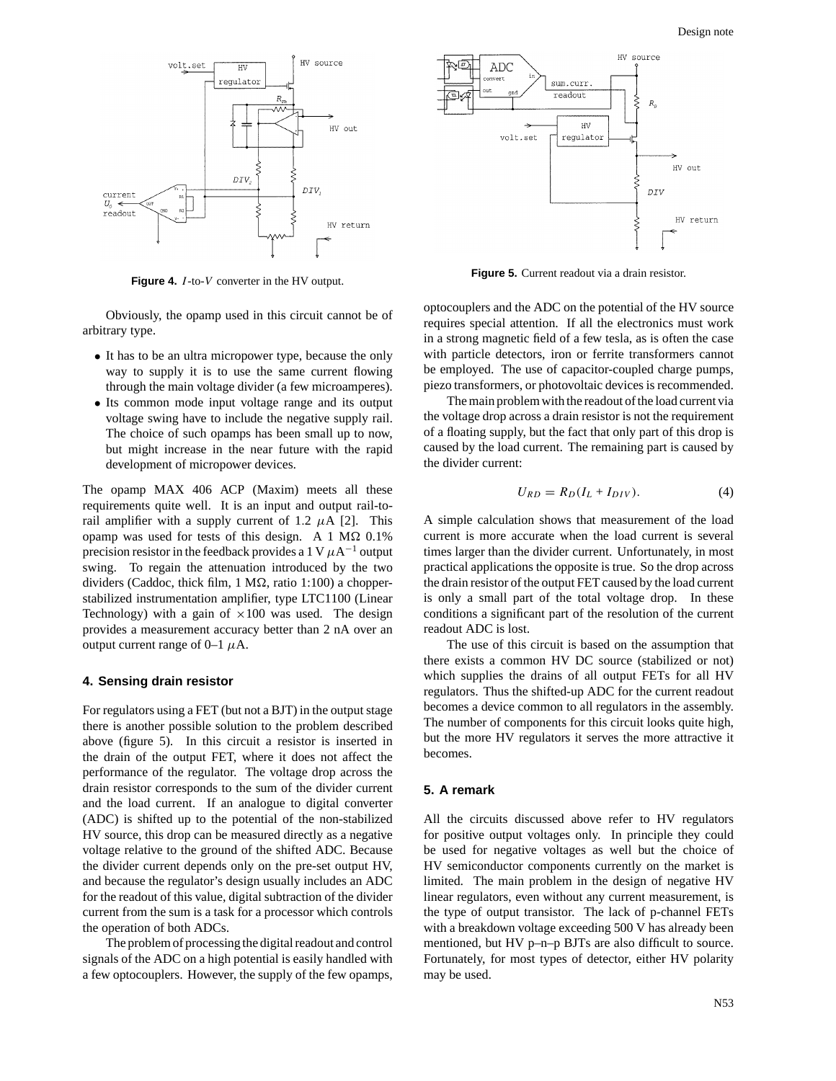

**Figure 4.** *I* -to-*V* converter in the HV output.

Obviously, the opamp used in this circuit cannot be of arbitrary type.

- It has to be an ultra micropower type, because the only way to supply it is to use the same current flowing through the main voltage divider (a few microamperes).
- Its common mode input voltage range and its output voltage swing have to include the negative supply rail. The choice of such opamps has been small up to now, but might increase in the near future with the rapid development of micropower devices.

The opamp MAX 406 ACP (Maxim) meets all these requirements quite well. It is an input and output rail-torail amplifier with a supply current of 1.2  $\mu$ A [2]. This opamp was used for tests of this design. A 1 M $\Omega$  0.1% precision resistor in the feedback provides a 1 V  $\mu$ A<sup>-1</sup> output swing. To regain the attenuation introduced by the two dividers (Caddoc, thick film,  $1 M\Omega$ , ratio 1:100) a chopperstabilized instrumentation amplifier, type LTC1100 (Linear Technology) with a gain of  $\times 100$  was used. The design provides a measurement accuracy better than 2 nA over an output current range of  $0-1$   $\mu$ A.

#### **4. Sensing drain resistor**

For regulators using a FET (but not a BJT) in the output stage there is another possible solution to the problem described above (figure 5). In this circuit a resistor is inserted in the drain of the output FET, where it does not affect the performance of the regulator. The voltage drop across the drain resistor corresponds to the sum of the divider current and the load current. If an analogue to digital converter (ADC) is shifted up to the potential of the non-stabilized HV source, this drop can be measured directly as a negative voltage relative to the ground of the shifted ADC. Because the divider current depends only on the pre-set output HV, and because the regulator's design usually includes an ADC for the readout of this value, digital subtraction of the divider current from the sum is a task for a processor which controls the operation of both ADCs.

The problem of processing the digital readout and control signals of the ADC on a high potential is easily handled with a few optocouplers. However, the supply of the few opamps,



**Figure 5.** Current readout via a drain resistor.

optocouplers and the ADC on the potential of the HV source requires special attention. If all the electronics must work in a strong magnetic field of a few tesla, as is often the case with particle detectors, iron or ferrite transformers cannot be employed. The use of capacitor-coupled charge pumps, piezo transformers, or photovoltaic devices is recommended.

The main problem with the readout of the load current via the voltage drop across a drain resistor is not the requirement of a floating supply, but the fact that only part of this drop is caused by the load current. The remaining part is caused by the divider current:

$$
U_{RD} = R_D (I_L + I_{DIV}). \tag{4}
$$

A simple calculation shows that measurement of the load current is more accurate when the load current is several times larger than the divider current. Unfortunately, in most practical applications the opposite is true. So the drop across the drain resistor of the output FET caused by the load current is only a small part of the total voltage drop. In these conditions a significant part of the resolution of the current readout ADC is lost.

The use of this circuit is based on the assumption that there exists a common HV DC source (stabilized or not) which supplies the drains of all output FETs for all HV regulators. Thus the shifted-up ADC for the current readout becomes a device common to all regulators in the assembly. The number of components for this circuit looks quite high, but the more HV regulators it serves the more attractive it becomes.

## **5. A remark**

All the circuits discussed above refer to HV regulators for positive output voltages only. In principle they could be used for negative voltages as well but the choice of HV semiconductor components currently on the market is limited. The main problem in the design of negative HV linear regulators, even without any current measurement, is the type of output transistor. The lack of p-channel FETs with a breakdown voltage exceeding 500 V has already been mentioned, but HV p–n–p BJTs are also difficult to source. Fortunately, for most types of detector, either HV polarity may be used.